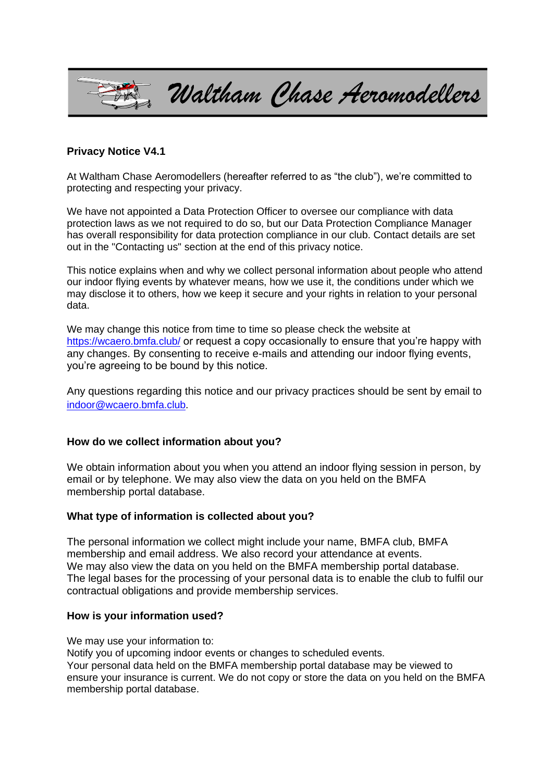

## **Privacy Notice V4.1**

At Waltham Chase Aeromodellers (hereafter referred to as "the club"), we're committed to protecting and respecting your privacy.

We have not appointed a Data Protection Officer to oversee our compliance with data protection laws as we not required to do so, but our Data Protection Compliance Manager has overall responsibility for data protection compliance in our club. Contact details are set out in the "Contacting us" section at the end of this privacy notice.

This notice explains when and why we collect personal information about people who attend our indoor flying events by whatever means, how we use it, the conditions under which we may disclose it to others, how we keep it secure and your rights in relation to your personal data.

We may change this notice from time to time so please check the website at <https://wcaero.bmfa.club/> or request a copy occasionally to ensure that you're happy with any changes. By consenting to receive e-mails and attending our indoor flying events, you're agreeing to be bound by this notice.

Any questions regarding this notice and our privacy practices should be sent by email to [indoor@wcaero.bmfa.club](mailto:indoor@wcaero.bmfa.club).

## **How do we collect information about you?**

We obtain information about you when you attend an indoor flying session in person, by email or by telephone. We may also view the data on you held on the BMFA membership portal database.

#### **What type of information is collected about you?**

The personal information we collect might include your name, BMFA club, BMFA membership and email address. We also record your attendance at events. We may also view the data on you held on the BMFA membership portal database. The legal bases for the processing of your personal data is to enable the club to fulfil our contractual obligations and provide membership services.

#### **How is your information used?**

We may use your information to:

Notify you of upcoming indoor events or changes to scheduled events.

Your personal data held on the BMFA membership portal database may be viewed to ensure your insurance is current. We do not copy or store the data on you held on the BMFA membership portal database.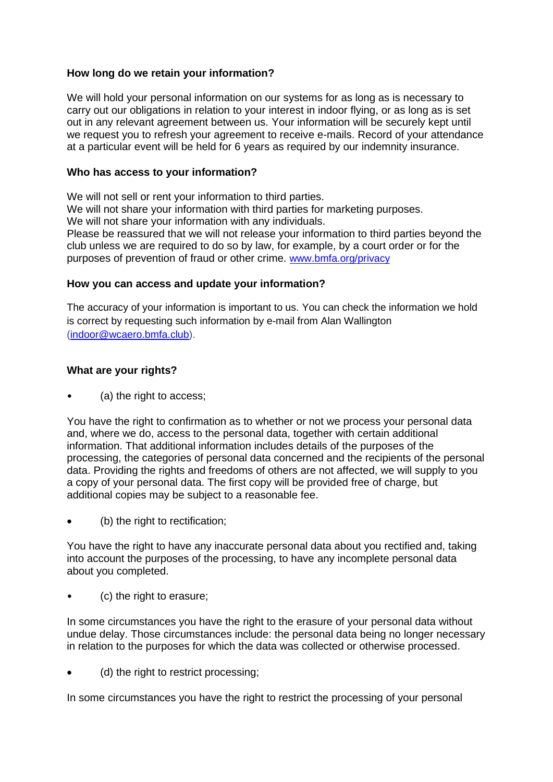# **How long do we retain your information?**

We will hold your personal information on our systems for as long as is necessary to carry out our obligations in relation to your interest in indoor flying, or as long as is set out in any relevant agreement between us. Your information will be securely kept until we request you to refresh your agreement to receive e-mails. Record of your attendance at a particular event will be held for 6 years as required by our indemnity insurance.

# **Who has access to your information?**

We will not sell or rent your information to third parties. We will not share your information with third parties for marketing purposes. We will not share your information with any individuals. Please be reassured that we will not release your information to third parties beyond the club unless we are required to do so by law, for example, by a court order or for the purposes of prevention of fraud or other crime. [www.bmfa.org/privacy](http://www.bmfa.org/privacy)

# **How you can access and update your information?**

The accuracy of your information is important to us. You can check the information we hold is correct by requesting such information by e-mail from Alan Wallington [\(indoor@wcaero.bmfa.club\)](mailto:indoor@wcaero.bmfa.club).

# **What are your rights?**

(a) the right to access;

You have the right to confirmation as to whether or not we process your personal data and, where we do, access to the personal data, together with certain additional information. That additional information includes details of the purposes of the processing, the categories of personal data concerned and the recipients of the personal data. Providing the rights and freedoms of others are not affected, we will supply to you a copy of your personal data. The first copy will be provided free of charge, but additional copies may be subject to a reasonable fee.

(b) the right to rectification;

You have the right to have any inaccurate personal data about you rectified and, taking into account the purposes of the processing, to have any incomplete personal data about you completed.

• (c) the right to erasure;

In some circumstances you have the right to the erasure of your personal data without undue delay. Those circumstances include: the personal data being no longer necessary in relation to the purposes for which the data was collected or otherwise processed.

• (d) the right to restrict processing;

In some circumstances you have the right to restrict the processing of your personal